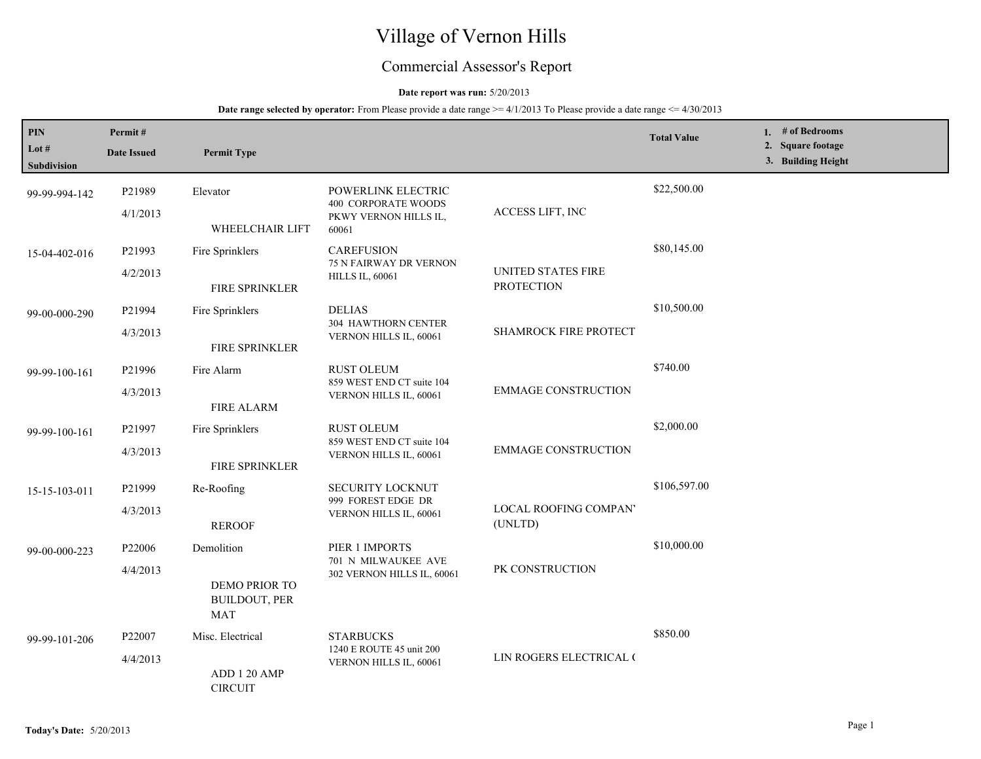# Village of Vernon Hills

## Commercial Assessor's Report

### **Date report was run:** 5/20/2013

| PIN<br>Lot $\#$<br><b>Subdivision</b> | Permit#<br><b>Date Issued</b> | <b>Permit Type</b>                                                |                                                                                |                                                | <b>Total Value</b> | 1. # of Bedrooms<br>2. Square footage<br>3. Building Height |
|---------------------------------------|-------------------------------|-------------------------------------------------------------------|--------------------------------------------------------------------------------|------------------------------------------------|--------------------|-------------------------------------------------------------|
| 99-99-994-142                         | P21989<br>4/1/2013            | Elevator<br>WHEELCHAIR LIFT                                       | POWERLINK ELECTRIC<br>400 CORPORATE WOODS<br>PKWY VERNON HILLS IL,             | ACCESS LIFT, INC                               | \$22,500.00        |                                                             |
| 15-04-402-016                         | P21993<br>4/2/2013            | Fire Sprinklers<br>FIRE SPRINKLER                                 | 60061<br><b>CAREFUSION</b><br>75 N FAIRWAY DR VERNON<br><b>HILLS IL, 60061</b> | <b>UNITED STATES FIRE</b><br><b>PROTECTION</b> | \$80,145.00        |                                                             |
| 99-00-000-290                         | P21994<br>4/3/2013            | Fire Sprinklers<br>FIRE SPRINKLER                                 | <b>DELIAS</b><br>304 HAWTHORN CENTER<br>VERNON HILLS IL, 60061                 | SHAMROCK FIRE PROTECT                          | \$10,500.00        |                                                             |
| 99-99-100-161                         | P21996<br>4/3/2013            | Fire Alarm<br><b>FIRE ALARM</b>                                   | <b>RUST OLEUM</b><br>859 WEST END CT suite 104<br>VERNON HILLS IL, 60061       | <b>EMMAGE CONSTRUCTION</b>                     | \$740.00           |                                                             |
| 99-99-100-161                         | P21997<br>4/3/2013            | Fire Sprinklers<br>FIRE SPRINKLER                                 | <b>RUST OLEUM</b><br>859 WEST END CT suite 104<br>VERNON HILLS IL, 60061       | <b>EMMAGE CONSTRUCTION</b>                     | \$2,000.00         |                                                             |
| 15-15-103-011                         | P21999<br>4/3/2013            | Re-Roofing<br><b>REROOF</b>                                       | SECURITY LOCKNUT<br>999 FOREST EDGE DR<br>VERNON HILLS IL, 60061               | LOCAL ROOFING COMPAN'<br>(UNLTD)               | \$106,597.00       |                                                             |
| 99-00-000-223                         | P22006<br>4/4/2013            | Demolition<br>DEMO PRIOR TO<br><b>BUILDOUT, PER</b><br><b>MAT</b> | PIER 1 IMPORTS<br>701 N MILWAUKEE AVE<br>302 VERNON HILLS IL, 60061            | PK CONSTRUCTION                                | \$10,000.00        |                                                             |
| 99-99-101-206                         | P22007<br>4/4/2013            | Misc. Electrical<br>ADD 1 20 AMP<br><b>CIRCUIT</b>                | <b>STARBUCKS</b><br>1240 E ROUTE 45 unit 200<br>VERNON HILLS IL, 60061         | LIN ROGERS ELECTRICAL (                        | \$850.00           |                                                             |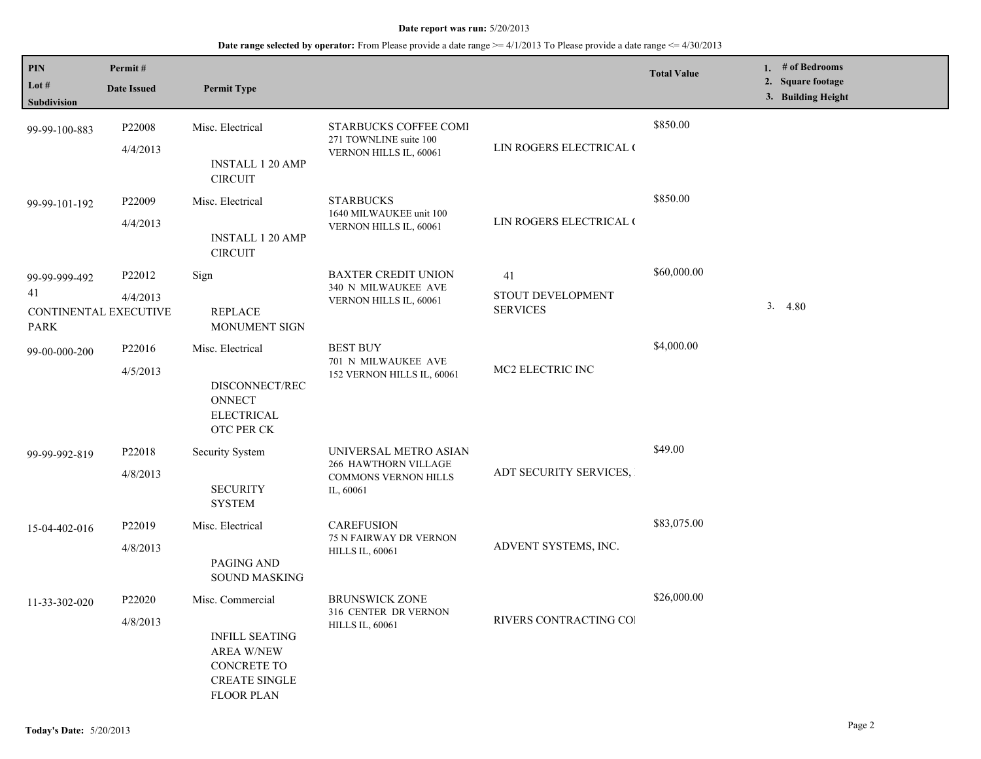| PIN                                        | Permit#            |                                                                                                               |                                                                           |                                      | <b>Total Value</b> | 1. # of Bedrooms                        |
|--------------------------------------------|--------------------|---------------------------------------------------------------------------------------------------------------|---------------------------------------------------------------------------|--------------------------------------|--------------------|-----------------------------------------|
| Lot $#$<br>Subdivision                     | <b>Date Issued</b> | <b>Permit Type</b>                                                                                            |                                                                           |                                      |                    | 2. Square footage<br>3. Building Height |
| 99-99-100-883                              | P22008<br>4/4/2013 | Misc. Electrical                                                                                              | STARBUCKS COFFEE COMI<br>271 TOWNLINE suite 100<br>VERNON HILLS IL, 60061 | LIN ROGERS ELECTRICAL (              | \$850.00           |                                         |
|                                            |                    | <b>INSTALL 1 20 AMP</b><br><b>CIRCUIT</b>                                                                     |                                                                           |                                      |                    |                                         |
| 99-99-101-192                              | P22009             | Misc. Electrical                                                                                              | <b>STARBUCKS</b><br>1640 MILWAUKEE unit 100                               |                                      | \$850.00           |                                         |
|                                            | 4/4/2013           | <b>INSTALL 1 20 AMP</b><br><b>CIRCUIT</b>                                                                     | VERNON HILLS IL, 60061                                                    | LIN ROGERS ELECTRICAL (              |                    |                                         |
| 99-99-999-492                              | P22012             | Sign                                                                                                          | <b>BAXTER CREDIT UNION</b><br>340 N MILWAUKEE AVE                         | 41                                   | \$60,000.00        |                                         |
| 41<br>CONTINENTAL EXECUTIVE<br><b>PARK</b> | 4/4/2013           | <b>REPLACE</b><br><b>MONUMENT SIGN</b>                                                                        | VERNON HILLS IL, 60061                                                    | STOUT DEVELOPMENT<br><b>SERVICES</b> |                    | 3.4.80                                  |
| 99-00-000-200                              | P22016             | Misc. Electrical                                                                                              | <b>BEST BUY</b><br>701 N MILWAUKEE AVE                                    |                                      | \$4,000.00         |                                         |
|                                            | 4/5/2013           | DISCONNECT/REC<br><b>ONNECT</b><br><b>ELECTRICAL</b><br>OTC PER CK                                            | 152 VERNON HILLS IL, 60061                                                | MC2 ELECTRIC INC                     |                    |                                         |
| 99-99-992-819                              | P22018             | <b>Security System</b>                                                                                        | UNIVERSAL METRO ASIAN<br>266 HAWTHORN VILLAGE                             | ADT SECURITY SERVICES,               | \$49.00            |                                         |
|                                            | 4/8/2013           | <b>SECURITY</b><br><b>SYSTEM</b>                                                                              | <b>COMMONS VERNON HILLS</b><br>IL, 60061                                  |                                      |                    |                                         |
| 15-04-402-016                              | P22019             | Misc. Electrical                                                                                              | <b>CAREFUSION</b><br>75 N FAIRWAY DR VERNON                               |                                      | \$83,075.00        |                                         |
|                                            | 4/8/2013           | PAGING AND<br><b>SOUND MASKING</b>                                                                            | <b>HILLS IL, 60061</b>                                                    | ADVENT SYSTEMS, INC.                 |                    |                                         |
| 11-33-302-020                              | P22020             | Misc. Commercial                                                                                              | <b>BRUNSWICK ZONE</b><br>316 CENTER DR VERNON                             |                                      | \$26,000.00        |                                         |
|                                            | 4/8/2013           | <b>INFILL SEATING</b><br><b>AREA W/NEW</b><br><b>CONCRETE TO</b><br><b>CREATE SINGLE</b><br><b>FLOOR PLAN</b> | <b>HILLS IL, 60061</b>                                                    | RIVERS CONTRACTING COI               |                    |                                         |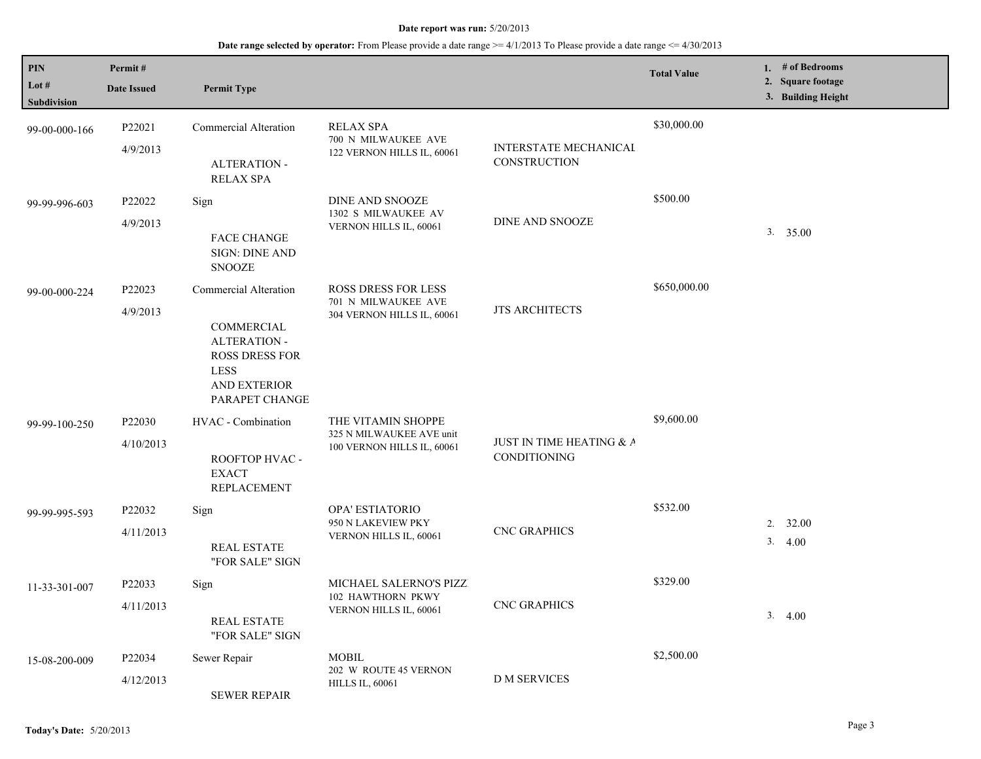| <b>PIN</b><br>Lot $#$<br>Subdivision | Permit#<br><b>Date Issued</b> | <b>Permit Type</b>                                                                                                                   |                                                                              |                                          | <b>Total Value</b> | # of Bedrooms<br>1.<br>2. Square footage<br>3. Building Height |
|--------------------------------------|-------------------------------|--------------------------------------------------------------------------------------------------------------------------------------|------------------------------------------------------------------------------|------------------------------------------|--------------------|----------------------------------------------------------------|
| 99-00-000-166                        | P22021<br>4/9/2013            | <b>Commercial Alteration</b><br><b>ALTERATION -</b><br><b>RELAX SPA</b>                                                              | <b>RELAX SPA</b><br>700 N MILWAUKEE AVE<br>122 VERNON HILLS IL, 60061        | INTERSTATE MECHANICAL<br>CONSTRUCTION    | \$30,000.00        |                                                                |
| 99-99-996-603                        | P22022<br>4/9/2013            | Sign<br><b>FACE CHANGE</b><br><b>SIGN: DINE AND</b><br><b>SNOOZE</b>                                                                 | DINE AND SNOOZE<br>1302 S MILWAUKEE AV<br>VERNON HILLS IL, 60061             | <b>DINE AND SNOOZE</b>                   | \$500.00           | 3. 35.00                                                       |
| 99-00-000-224                        | P22023<br>4/9/2013            | Commercial Alteration<br>COMMERCIAL<br><b>ALTERATION -</b><br><b>ROSS DRESS FOR</b><br><b>LESS</b><br>AND EXTERIOR<br>PARAPET CHANGE | ROSS DRESS FOR LESS<br>701 N MILWAUKEE AVE<br>304 VERNON HILLS IL, 60061     | <b>JTS ARCHITECTS</b>                    | \$650,000.00       |                                                                |
| 99-99-100-250                        | P22030<br>4/10/2013           | HVAC - Combination<br>ROOFTOP HVAC -<br><b>EXACT</b><br><b>REPLACEMENT</b>                                                           | THE VITAMIN SHOPPE<br>325 N MILWAUKEE AVE unit<br>100 VERNON HILLS IL, 60061 | JUST IN TIME HEATING & A<br>CONDITIONING | \$9,600.00         |                                                                |
| 99-99-995-593                        | P22032<br>4/11/2013           | Sign<br><b>REAL ESTATE</b><br>"FOR SALE" SIGN                                                                                        | OPA' ESTIATORIO<br>950 N LAKEVIEW PKY<br>VERNON HILLS IL, 60061              | <b>CNC GRAPHICS</b>                      | \$532.00           | 2.<br>32.00<br>3.<br>4.00                                      |
| 11-33-301-007                        | P22033<br>4/11/2013           | Sign<br><b>REAL ESTATE</b><br>"FOR SALE" SIGN                                                                                        | MICHAEL SALERNO'S PIZZ<br>102 HAWTHORN PKWY<br>VERNON HILLS IL, 60061        | <b>CNC GRAPHICS</b>                      | \$329.00           | 3.4.00                                                         |
| 15-08-200-009                        | P22034<br>4/12/2013           | Sewer Repair<br><b>SEWER REPAIR</b>                                                                                                  | <b>MOBIL</b><br>202 W ROUTE 45 VERNON<br><b>HILLS IL, 60061</b>              | <b>D M SERVICES</b>                      | \$2,500.00         |                                                                |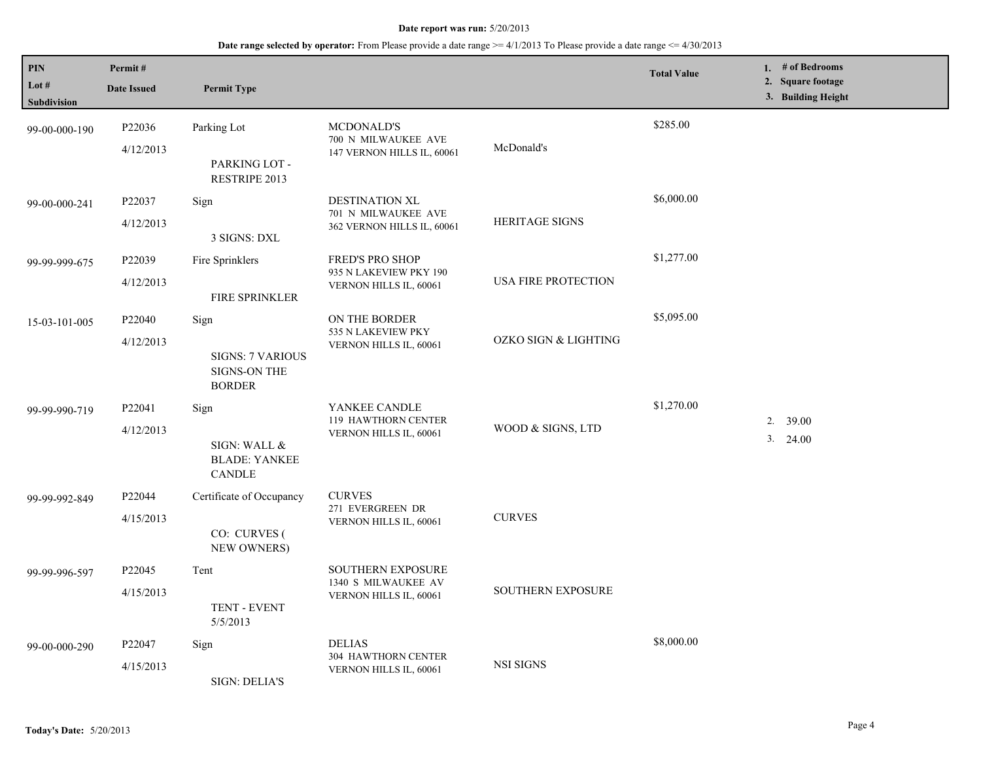| PIN<br>Lot $#$<br>Subdivision | Permit#<br><b>Date Issued</b> | <b>Permit Type</b>                                                      |                                                                           |                          | <b>Total Value</b> | 1. # of Bedrooms<br>2. Square footage<br>3. Building Height |
|-------------------------------|-------------------------------|-------------------------------------------------------------------------|---------------------------------------------------------------------------|--------------------------|--------------------|-------------------------------------------------------------|
| 99-00-000-190                 | P22036<br>4/12/2013           | Parking Lot<br>PARKING LOT -<br>RESTRIPE 2013                           | <b>MCDONALD'S</b><br>700 N MILWAUKEE AVE<br>147 VERNON HILLS IL, 60061    | McDonald's               | \$285.00           |                                                             |
| 99-00-000-241                 | P22037<br>4/12/2013           | Sign<br>3 SIGNS: DXL                                                    | DESTINATION XL<br>701 N MILWAUKEE AVE<br>362 VERNON HILLS IL, 60061       | <b>HERITAGE SIGNS</b>    | \$6,000.00         |                                                             |
| 99-99-999-675                 | P22039<br>4/12/2013           | Fire Sprinklers<br>FIRE SPRINKLER                                       | FRED'S PRO SHOP<br>935 N LAKEVIEW PKY 190<br>VERNON HILLS IL, 60061       | USA FIRE PROTECTION      | \$1,277.00         |                                                             |
| 15-03-101-005                 | P22040<br>4/12/2013           | Sign<br><b>SIGNS: 7 VARIOUS</b><br><b>SIGNS-ON THE</b><br><b>BORDER</b> | ON THE BORDER<br>535 N LAKEVIEW PKY<br>VERNON HILLS IL, 60061             | OZKO SIGN & LIGHTING     | \$5,095.00         |                                                             |
| 99-99-990-719                 | P22041<br>4/12/2013           | Sign<br>SIGN: WALL &<br><b>BLADE: YANKEE</b><br><b>CANDLE</b>           | YANKEE CANDLE<br>119 HAWTHORN CENTER<br>VERNON HILLS IL, 60061            | WOOD & SIGNS, LTD        | \$1,270.00         | $2. \quad 39.00$<br>3. 24.00                                |
| 99-99-992-849                 | P22044<br>4/15/2013           | Certificate of Occupancy<br>CO: CURVES (<br>NEW OWNERS)                 | <b>CURVES</b><br>271 EVERGREEN DR<br>VERNON HILLS IL, 60061               | <b>CURVES</b>            |                    |                                                             |
| 99-99-996-597                 | P22045<br>4/15/2013           | Tent<br>TENT - EVENT<br>5/5/2013                                        | <b>SOUTHERN EXPOSURE</b><br>1340 S MILWAUKEE AV<br>VERNON HILLS IL, 60061 | <b>SOUTHERN EXPOSURE</b> |                    |                                                             |
| 99-00-000-290                 | P22047<br>4/15/2013           | Sign<br><b>SIGN: DELIA'S</b>                                            | <b>DELIAS</b><br>304 HAWTHORN CENTER<br>VERNON HILLS IL, 60061            | NSI SIGNS                | \$8,000.00         |                                                             |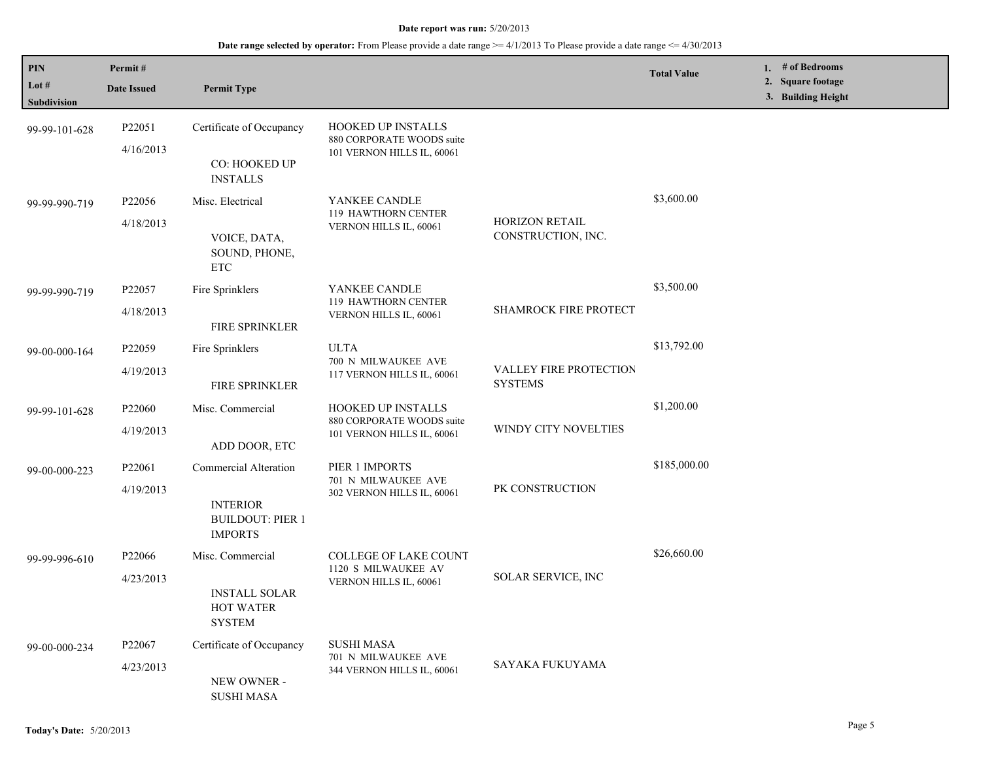| PIN<br>Lot #<br>Subdivision | Permit#<br><b>Date Issued</b>   | <b>Permit Type</b>                                                                    |                                                                                      |                                          | <b>Total Value</b> | 1. # of Bedrooms<br>2. Square footage<br>3. Building Height |
|-----------------------------|---------------------------------|---------------------------------------------------------------------------------------|--------------------------------------------------------------------------------------|------------------------------------------|--------------------|-------------------------------------------------------------|
| 99-99-101-628               | P22051<br>4/16/2013             | Certificate of Occupancy<br>CO: HOOKED UP<br><b>INSTALLS</b>                          | <b>HOOKED UP INSTALLS</b><br>880 CORPORATE WOODS suite<br>101 VERNON HILLS IL, 60061 |                                          |                    |                                                             |
| 99-99-990-719               | P <sub>22056</sub><br>4/18/2013 | Misc. Electrical<br>VOICE, DATA,<br>SOUND, PHONE,<br><b>ETC</b>                       | YANKEE CANDLE<br>119 HAWTHORN CENTER<br>VERNON HILLS IL, 60061                       | HORIZON RETAIL<br>CONSTRUCTION, INC.     | \$3,600.00         |                                                             |
| 99-99-990-719               | P22057<br>4/18/2013             | Fire Sprinklers<br>FIRE SPRINKLER                                                     | YANKEE CANDLE<br>119 HAWTHORN CENTER<br>VERNON HILLS IL, 60061                       | <b>SHAMROCK FIRE PROTECT</b>             | \$3,500.00         |                                                             |
| 99-00-000-164               | P22059<br>4/19/2013             | Fire Sprinklers<br>FIRE SPRINKLER                                                     | <b>ULTA</b><br>700 N MILWAUKEE AVE<br>117 VERNON HILLS IL, 60061                     | VALLEY FIRE PROTECTION<br><b>SYSTEMS</b> | \$13,792.00        |                                                             |
| 99-99-101-628               | P22060<br>4/19/2013             | Misc. Commercial<br>ADD DOOR, ETC                                                     | HOOKED UP INSTALLS<br>880 CORPORATE WOODS suite<br>101 VERNON HILLS IL, 60061        | WINDY CITY NOVELTIES                     | \$1,200.00         |                                                             |
| 99-00-000-223               | P22061<br>4/19/2013             | Commercial Alteration<br><b>INTERIOR</b><br><b>BUILDOUT: PIER 1</b><br><b>IMPORTS</b> | PIER 1 IMPORTS<br>701 N MILWAUKEE AVE<br>302 VERNON HILLS IL, 60061                  | PK CONSTRUCTION                          | \$185,000.00       |                                                             |
| 99-99-996-610               | P22066<br>4/23/2013             | Misc. Commercial<br><b>INSTALL SOLAR</b><br><b>HOT WATER</b><br><b>SYSTEM</b>         | <b>COLLEGE OF LAKE COUNT</b><br>1120 S MILWAUKEE AV<br>VERNON HILLS IL, 60061        | SOLAR SERVICE, INC                       | \$26,660.00        |                                                             |
| 99-00-000-234               | P22067<br>4/23/2013             | Certificate of Occupancy<br>NEW OWNER -<br><b>SUSHI MASA</b>                          | <b>SUSHI MASA</b><br>701 N MILWAUKEE AVE<br>344 VERNON HILLS IL, 60061               | SAYAKA FUKUYAMA                          |                    |                                                             |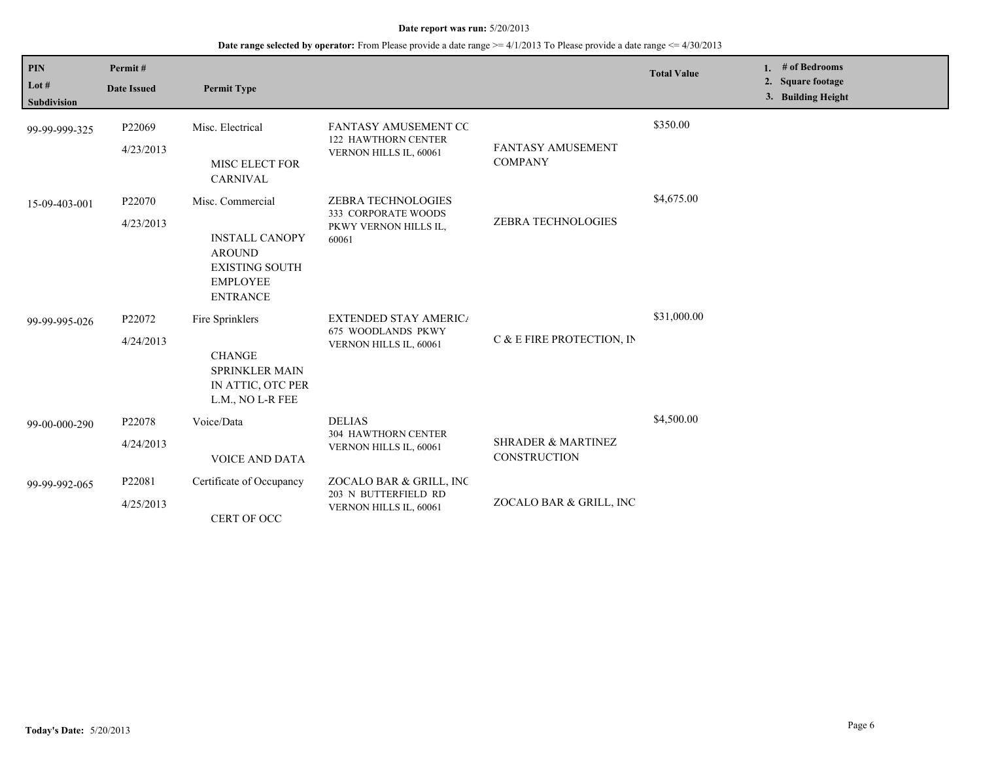| <b>PIN</b><br>Lot #<br>Subdivision | Permit#<br><b>Date Issued</b> | <b>Permit Type</b>                                                                                                        |                                                                                    |                                                      | <b>Total Value</b> | 1. | # of Bedrooms<br>2. Square footage<br>3. Building Height |  |
|------------------------------------|-------------------------------|---------------------------------------------------------------------------------------------------------------------------|------------------------------------------------------------------------------------|------------------------------------------------------|--------------------|----|----------------------------------------------------------|--|
| 99-99-999-325                      | P22069<br>4/23/2013           | Misc. Electrical<br>MISC ELECT FOR<br>CARNIVAL                                                                            | FANTASY AMUSEMENT CC<br><b>122 HAWTHORN CENTER</b><br>VERNON HILLS IL, 60061       | <b>FANTASY AMUSEMENT</b><br><b>COMPANY</b>           | \$350.00           |    |                                                          |  |
| 15-09-403-001                      | P22070<br>4/23/2013           | Misc. Commercial<br><b>INSTALL CANOPY</b><br><b>AROUND</b><br><b>EXISTING SOUTH</b><br><b>EMPLOYEE</b><br><b>ENTRANCE</b> | <b>ZEBRA TECHNOLOGIES</b><br>333 CORPORATE WOODS<br>PKWY VERNON HILLS IL,<br>60061 | ZEBRA TECHNOLOGIES                                   | \$4,675.00         |    |                                                          |  |
| 99-99-995-026                      | P22072<br>4/24/2013           | Fire Sprinklers<br><b>CHANGE</b><br>SPRINKLER MAIN<br>IN ATTIC, OTC PER<br>L.M., NO L-R FEE                               | <b>EXTENDED STAY AMERICA</b><br>675 WOODLANDS PKWY<br>VERNON HILLS IL, 60061       | C & E FIRE PROTECTION, IN                            | \$31,000.00        |    |                                                          |  |
| 99-00-000-290                      | P22078<br>4/24/2013           | Voice/Data<br><b>VOICE AND DATA</b>                                                                                       | <b>DELIAS</b><br><b>304 HAWTHORN CENTER</b><br>VERNON HILLS IL, 60061              | <b>SHRADER &amp; MARTINEZ</b><br><b>CONSTRUCTION</b> | \$4,500.00         |    |                                                          |  |
| 99-99-992-065                      | P22081<br>4/25/2013           | Certificate of Occupancy<br>CERT OF OCC                                                                                   | ZOCALO BAR & GRILL, INC<br>203 N BUTTERFIELD RD<br>VERNON HILLS IL, 60061          | ZOCALO BAR & GRILL, INC                              |                    |    |                                                          |  |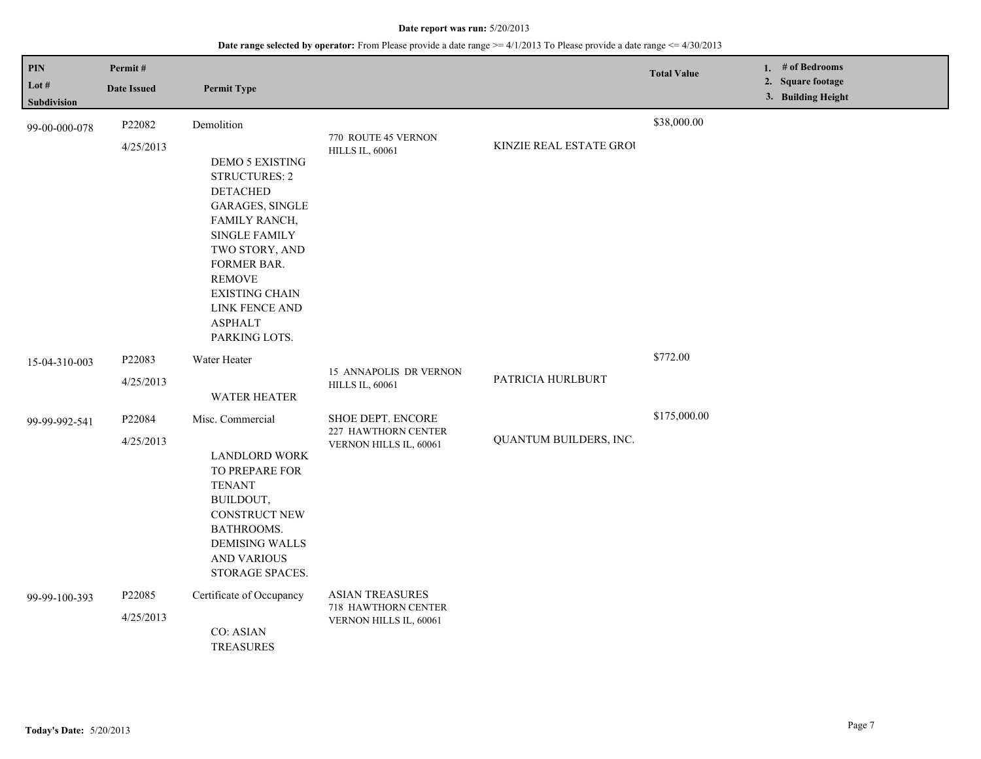| <b>PIN</b><br>Lot #<br><b>Subdivision</b> | Permit#<br><b>Date Issued</b> | <b>Permit Type</b>                                                                                                                                                                                                                                                          |                                                                         |                         | <b>Total Value</b> | 1. $#$ of Bedrooms<br>2. Square footage<br>3. Building Height |
|-------------------------------------------|-------------------------------|-----------------------------------------------------------------------------------------------------------------------------------------------------------------------------------------------------------------------------------------------------------------------------|-------------------------------------------------------------------------|-------------------------|--------------------|---------------------------------------------------------------|
| 99-00-000-078                             | P22082<br>4/25/2013           | Demolition<br><b>DEMO 5 EXISTING</b><br><b>STRUCTURES: 2</b><br><b>DETACHED</b><br><b>GARAGES, SINGLE</b><br>FAMILY RANCH,<br>SINGLE FAMILY<br>TWO STORY, AND<br>FORMER BAR.<br><b>REMOVE</b><br><b>EXISTING CHAIN</b><br>LINK FENCE AND<br><b>ASPHALT</b><br>PARKING LOTS. | 770 ROUTE 45 VERNON<br><b>HILLS IL, 60061</b>                           | KINZIE REAL ESTATE GROU | \$38,000.00        |                                                               |
| 15-04-310-003                             | P22083<br>4/25/2013           | Water Heater<br><b>WATER HEATER</b>                                                                                                                                                                                                                                         | 15 ANNAPOLIS DR VERNON<br><b>HILLS IL, 60061</b>                        | PATRICIA HURLBURT       | \$772.00           |                                                               |
| 99-99-992-541                             | P22084<br>4/25/2013           | Misc. Commercial<br><b>LANDLORD WORK</b><br>TO PREPARE FOR<br><b>TENANT</b><br>BUILDOUT,<br><b>CONSTRUCT NEW</b><br>BATHROOMS.<br><b>DEMISING WALLS</b><br><b>AND VARIOUS</b><br>STORAGE SPACES.                                                                            | SHOE DEPT. ENCORE<br>227 HAWTHORN CENTER<br>VERNON HILLS IL, 60061      | QUANTUM BUILDERS, INC.  | \$175,000.00       |                                                               |
| 99-99-100-393                             | P22085<br>4/25/2013           | Certificate of Occupancy<br><b>CO: ASIAN</b><br><b>TREASURES</b>                                                                                                                                                                                                            | <b>ASIAN TREASURES</b><br>718 HAWTHORN CENTER<br>VERNON HILLS IL, 60061 |                         |                    |                                                               |